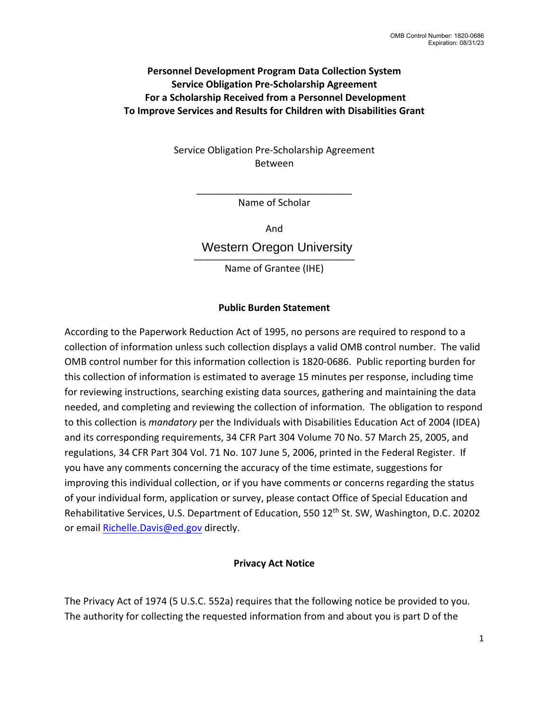## **Personnel Development Program Data Collection System Service Obligation Pre-Scholarship Agreement For a Scholarship Received from a Personnel Development To Improve Services and Results for Children with Disabilities Grant**

Service Obligation Pre-Scholarship Agreement Between

> \_\_\_\_\_\_\_\_\_\_\_\_\_\_\_\_\_\_\_\_\_\_\_\_\_\_\_\_\_ Name of Scholar

> > And

\_\_\_\_\_\_\_\_\_\_\_\_\_\_\_\_\_\_\_\_\_\_\_\_\_\_\_\_\_\_ Western Oregon University

Name of Grantee (IHE)

# **Public Burden Statement**

According to the Paperwork Reduction Act of 1995, no persons are required to respond to a collection of information unless such collection displays a valid OMB control number. The valid OMB control number for this information collection is 1820-0686. Public reporting burden for this collection of information is estimated to average 15 minutes per response, including time for reviewing instructions, searching existing data sources, gathering and maintaining the data needed, and completing and reviewing the collection of information. The obligation to respond to this collection is *mandatory* per the Individuals with Disabilities Education Act of 2004 (IDEA) and its corresponding requirements, 34 CFR Part 304 Volume 70 No. 57 March 25, 2005, and regulations, 34 CFR Part 304 Vol. 71 No. 107 June 5, 2006, printed in the Federal Register. If you have any comments concerning the accuracy of the time estimate, suggestions for improving this individual collection, or if you have comments or concerns regarding the status of your individual form, application or survey, please contact Office of Special Education and Rehabilitative Services, U.S. Department of Education, 550 12<sup>th</sup> St. SW, Washington, D.C. 20202 or emai[l Richelle.Davis@ed.gov](mailto:Richelle.Davis@ed.gov) directly.

### **Privacy Act Notice**

The Privacy Act of 1974 (5 U.S.C. 552a) requires that the following notice be provided to you. The authority for collecting the requested information from and about you is part D of the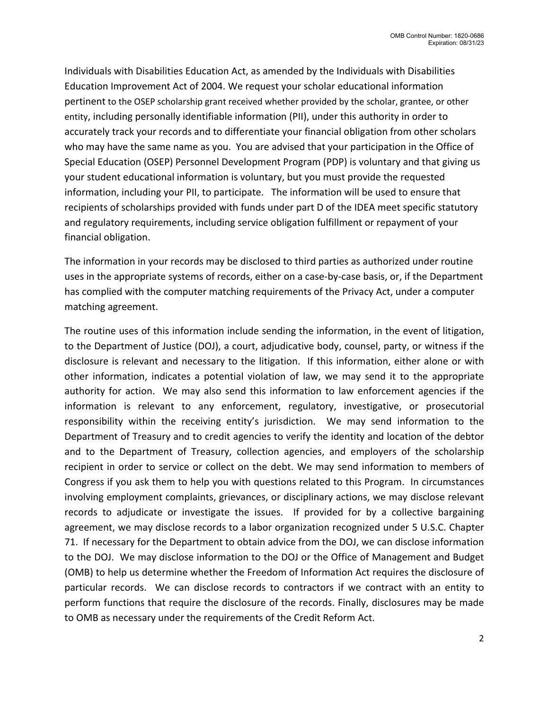Individuals with Disabilities Education Act, as amended by the Individuals with Disabilities Education Improvement Act of 2004. We request your scholar educational information pertinent to the OSEP scholarship grant received whether provided by the scholar, grantee, or other entity, including personally identifiable information (PII), under this authority in order to accurately track your records and to differentiate your financial obligation from other scholars who may have the same name as you. You are advised that your participation in the Office of Special Education (OSEP) Personnel Development Program (PDP) is voluntary and that giving us your student educational information is voluntary, but you must provide the requested information, including your PII, to participate. The information will be used to ensure that recipients of scholarships provided with funds under part D of the IDEA meet specific statutory and regulatory requirements, including service obligation fulfillment or repayment of your financial obligation.

The information in your records may be disclosed to third parties as authorized under routine uses in the appropriate systems of records, either on a case-by-case basis, or, if the Department has complied with the computer matching requirements of the Privacy Act, under a computer matching agreement.

The routine uses of this information include sending the information, in the event of litigation, to the Department of Justice (DOJ), a court, adjudicative body, counsel, party, or witness if the disclosure is relevant and necessary to the litigation. If this information, either alone or with other information, indicates a potential violation of law, we may send it to the appropriate authority for action. We may also send this information to law enforcement agencies if the information is relevant to any enforcement, regulatory, investigative, or prosecutorial responsibility within the receiving entity's jurisdiction. We may send information to the Department of Treasury and to credit agencies to verify the identity and location of the debtor and to the Department of Treasury, collection agencies, and employers of the scholarship recipient in order to service or collect on the debt. We may send information to members of Congress if you ask them to help you with questions related to this Program. In circumstances involving employment complaints, grievances, or disciplinary actions, we may disclose relevant records to adjudicate or investigate the issues. If provided for by a collective bargaining agreement, we may disclose records to a labor organization recognized under 5 U.S.C. Chapter 71. If necessary for the Department to obtain advice from the DOJ, we can disclose information to the DOJ. We may disclose information to the DOJ or the Office of Management and Budget (OMB) to help us determine whether the Freedom of Information Act requires the disclosure of particular records. We can disclose records to contractors if we contract with an entity to perform functions that require the disclosure of the records. Finally, disclosures may be made to OMB as necessary under the requirements of the Credit Reform Act.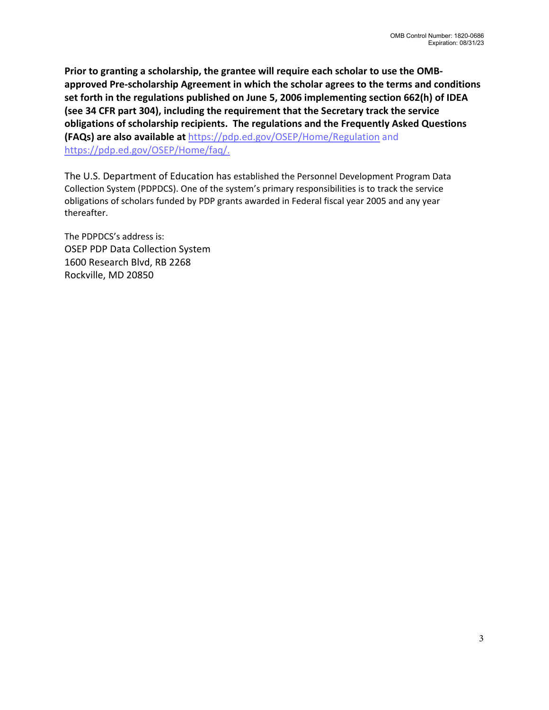**Prior to granting a scholarship, the grantee will require each scholar to use the OMBapproved Pre-scholarship Agreement in which the scholar agrees to the terms and conditions set forth in the regulations published on June 5, 2006 implementing section 662(h) of IDEA (see 34 CFR part 304), including the requirement that the Secretary track the service obligations of scholarship recipients. The regulations and the Frequently Asked Questions (FAQs) are also available at** <https://pdp.ed.gov/OSEP/Home/Regulation> and [https://pdp.ed.gov/OSEP/Home/faq/.](http://www.serviceobligations.ed.gov/2006faq.cfm.)

The U.S. Department of Education has established the Personnel Development Program Data Collection System (PDPDCS). One of the system's primary responsibilities is to track the service obligations of scholars funded by PDP grants awarded in Federal fiscal year 2005 and any year thereafter.

The PDPDCS's address is: OSEP PDP Data Collection System 1600 Research Blvd, RB 2268 Rockville, MD 20850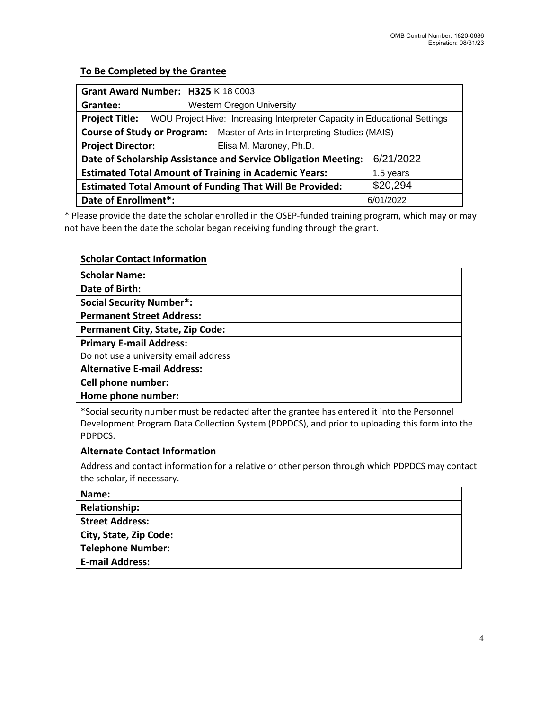### **To Be Completed by the Grantee**

| Grant Award Number: H325 K 18 0003                                               |                                  |                                                                           |           |  |  |
|----------------------------------------------------------------------------------|----------------------------------|---------------------------------------------------------------------------|-----------|--|--|
| Grantee:                                                                         | <b>Western Oregon University</b> |                                                                           |           |  |  |
| <b>Project Title:</b>                                                            |                                  | WOU Project Hive: Increasing Interpreter Capacity in Educational Settings |           |  |  |
| <b>Course of Study or Program:</b> Master of Arts in Interpreting Studies (MAIS) |                                  |                                                                           |           |  |  |
| <b>Project Director:</b>                                                         |                                  | Elisa M. Maroney, Ph.D.                                                   |           |  |  |
| 6/21/2022<br>Date of Scholarship Assistance and Service Obligation Meeting:      |                                  |                                                                           |           |  |  |
| <b>Estimated Total Amount of Training in Academic Years:</b>                     |                                  |                                                                           | 1.5 years |  |  |
| <b>Estimated Total Amount of Funding That Will Be Provided:</b>                  |                                  |                                                                           | \$20,294  |  |  |
| Date of Enrollment*:                                                             |                                  |                                                                           | 6/01/2022 |  |  |

\* Please provide the date the scholar enrolled in the OSEP-funded training program, which may or may not have been the date the scholar began receiving funding through the grant.

#### **Scholar Contact Information**

| <b>Scholar Name:</b>                    |  |  |  |  |
|-----------------------------------------|--|--|--|--|
| Date of Birth:                          |  |  |  |  |
| <b>Social Security Number*:</b>         |  |  |  |  |
| <b>Permanent Street Address:</b>        |  |  |  |  |
| <b>Permanent City, State, Zip Code:</b> |  |  |  |  |
| <b>Primary E-mail Address:</b>          |  |  |  |  |
| Do not use a university email address   |  |  |  |  |
| <b>Alternative E-mail Address:</b>      |  |  |  |  |
| Cell phone number:                      |  |  |  |  |
| Home phone number:                      |  |  |  |  |

\*Social security number must be redacted after the grantee has entered it into the Personnel Development Program Data Collection System (PDPDCS), and prior to uploading this form into the PDPDCS.

#### **Alternate Contact Information**

Address and contact information for a relative or other person through which PDPDCS may contact the scholar, if necessary.

| Name:                    |
|--------------------------|
| <b>Relationship:</b>     |
| <b>Street Address:</b>   |
| City, State, Zip Code:   |
| <b>Telephone Number:</b> |
| <b>E-mail Address:</b>   |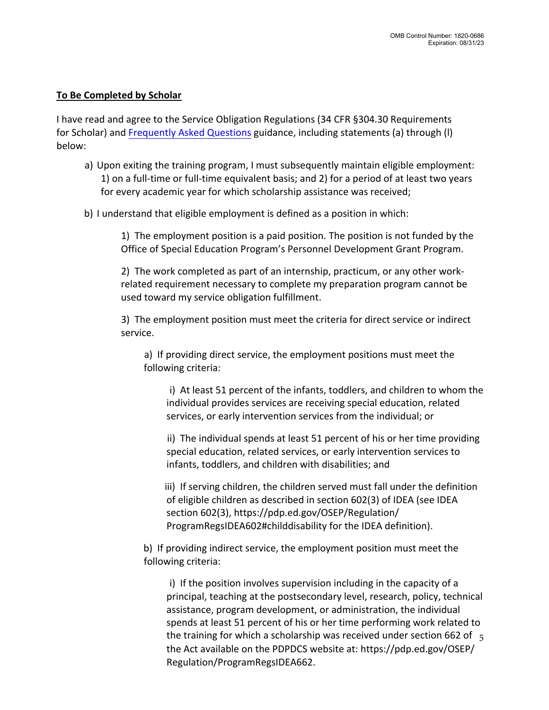### **To Be Completed by Scholar**

I have read and agree to the Service Obligation Regulations (34 CFR §304.30 Requirements for Scholar) and [Frequently Asked Questions](https://pdp.ed.gov/OSEP/Home/regulatoryfaqs) guidance, including statements (a) through (I) below:

- a) Upon exiting the training program, I must subsequently maintain eligible employment: 1) on a full-time or full-time equivalent basis; and 2) for a period of at least two years for every academic year for which scholarship assistance was received;
- b) I understand that eligible employment is defined as a position in which:

1) The employment position is a paid position. The position is not funded by the Office of Special Education Program's Personnel Development Grant Program.

2) The work completed as part of an internship, practicum, or any other workrelated requirement necessary to complete my preparation program cannot be used toward my service obligation fulfillment.

3) The employment position must meet the criteria for direct service or indirect service.

a) If providing direct service, the employment positions must meet the following criteria:

i) At least 51 percent of the infants, toddlers, and children to whom the individual provides services are receiving special education, related services, or early intervention services from the individual; or

ii) The individual spends at least 51 percent of his or her time providing special education, related services, or early intervention services to infants, toddlers, and children with disabilities; and

iii) If serving children, the children served must fall under the definition of eligible children as described in section 602(3) of IDEA (see IDEA section 602(3), https://pdp.ed.gov/OSEP/Regulation/ ProgramRegsIDEA602#childdisability for the IDEA definition).

b) If providing indirect service, the employment position must meet the following criteria:

i) If the position involves supervision including in the capacity of a principal, teaching at the postsecondary level, research, policy, technical assistance, program development, or administration, the individual spends at least 51 percent of his or her time performing work related to the training for which a scholarship was received under section 662 of  $\frac{1}{5}$ the Act available on the PDPDCS website at: https://pdp.ed.gov/OSEP/ Regulation/ProgramRegsIDEA662.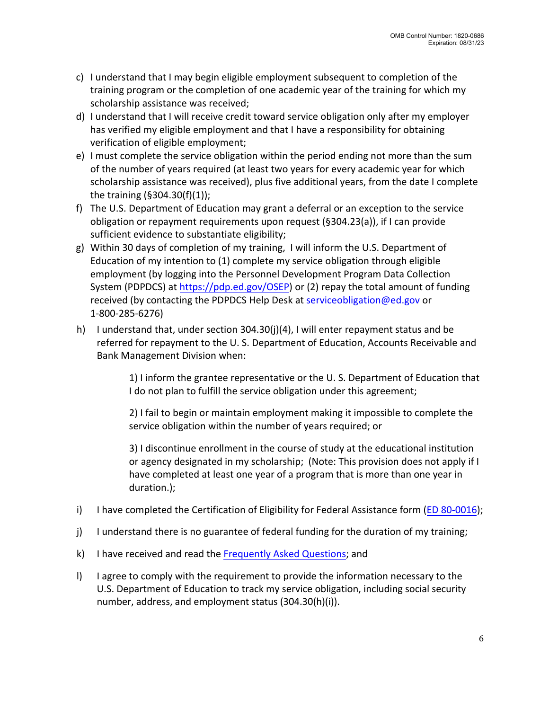- c) I understand that I may begin eligible employment subsequent to completion of the training program or the completion of one academic year of the training for which my scholarship assistance was received;
- d) I understand that I will receive credit toward service obligation only after my employer has verified my eligible employment and that I have a responsibility for obtaining verification of eligible employment;
- e) I must complete the service obligation within the period ending not more than the sum of the number of years required (at least two years for every academic year for which scholarship assistance was received), plus five additional years, from the date I complete the training (§304.30(f)(1));
- f) The U.S. Department of Education may grant a deferral or an exception to the service obligation or repayment requirements upon request (§304.23(a)), if I can provide sufficient evidence to substantiate eligibility;
- g) Within 30 days of completion of my training, I will inform the U.S. Department of Education of my intention to (1) complete my service obligation through eligible employment (by logging into the Personnel Development Program Data Collection System (PDPDCS) at [https://pdp.ed.gov/OSEP\)](https://pdp.ed.gov/OSEP) or (2) repay the total amount of funding received (by contacting the PDPDCS Help Desk at [serviceobligation@ed.gov](mailto:serviceobligation@ed.gov) or 1-800-285-6276)
- h) I understand that, under section 304.30(j)(4), I will enter repayment status and be referred for repayment to the U. S. Department of Education, Accounts Receivable and Bank Management Division when:

1) I inform the grantee representative or the U. S. Department of Education that I do not plan to fulfill the service obligation under this agreement;

2) I fail to begin or maintain employment making it impossible to complete the service obligation within the number of years required; or

3) I discontinue enrollment in the course of study at the educational institution or agency designated in my scholarship; (Note: This provision does not apply if I have completed at least one year of a program that is more than one year in duration.);

- i) I have completed the Certification of Eligibility for Federal Assistance form (ED [80-0016\);](https://www2.ed.gov/fund/grant/apply/appforms/ed80-016.pdf)
- j) I understand there is no guarantee of federal funding for the duration of my training;
- k) I have received and read the [Frequently Asked Questions;](https://pdp.ed.gov/OSEP/Home/faq/) and
- l) I agree to comply with the requirement to provide the information necessary to the U.S. Department of Education to track my service obligation, including social security number, address, and employment status (304.30(h)(i)).